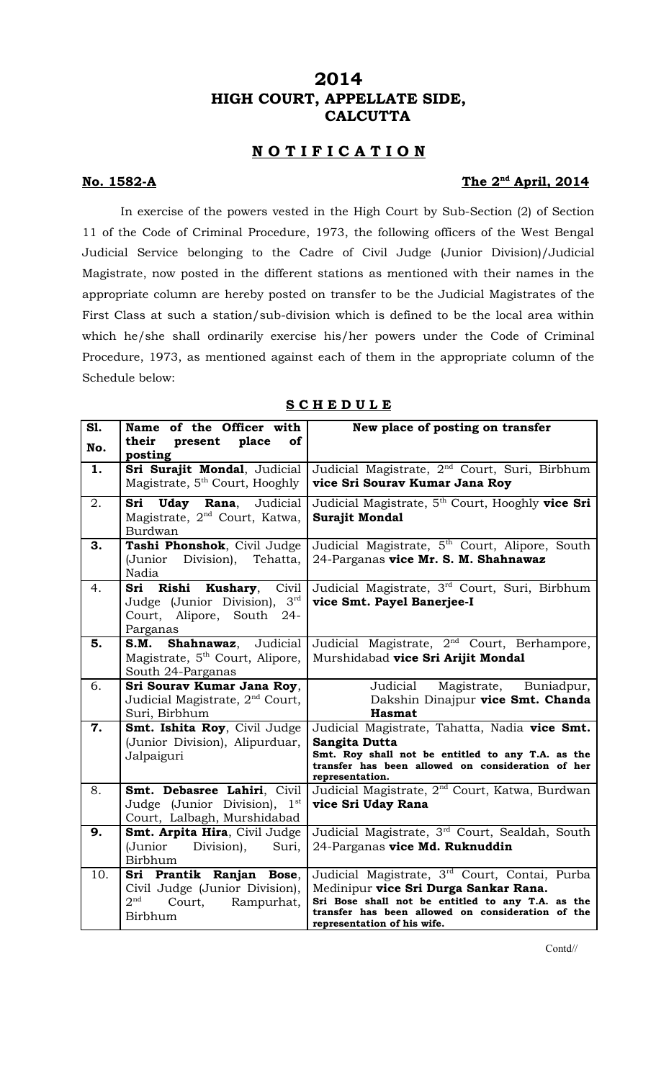# **2014 HIGH COURT, APPELLATE SIDE, CALCUTTA**

## **N O T I F I C A T I O N**

### **No. 1582-A**

### The 2<sup>nd</sup> April, 2014

In exercise of the powers vested in the High Court by Sub-Section (2) of Section 11 of the Code of Criminal Procedure, 1973, the following officers of the West Bengal Judicial Service belonging to the Cadre of Civil Judge (Junior Division)/Judicial Magistrate, now posted in the different stations as mentioned with their names in the appropriate column are hereby posted on transfer to be the Judicial Magistrates of the First Class at such a station/sub-division which is defined to be the local area within which he/she shall ordinarily exercise his/her powers under the Code of Criminal Procedure, 1973, as mentioned against each of them in the appropriate column of the Schedule below:

| S1.<br>No. | Name of the Officer with<br>their<br>present<br>place<br><b>of</b><br>posting                                    | New place of posting on transfer                                                                                                                                                                                                |
|------------|------------------------------------------------------------------------------------------------------------------|---------------------------------------------------------------------------------------------------------------------------------------------------------------------------------------------------------------------------------|
| 1.         | Sri Surajit Mondal, Judicial<br>Magistrate, 5 <sup>th</sup> Court, Hooghly                                       | Judicial Magistrate, 2 <sup>nd</sup> Court, Suri, Birbhum<br>vice Sri Sourav Kumar Jana Roy                                                                                                                                     |
| 2.         | Sri Uday Rana, Judicial<br>Magistrate, 2 <sup>nd</sup> Court, Katwa,<br>Burdwan                                  | Judicial Magistrate, 5 <sup>th</sup> Court, Hooghly vice Sri<br>Surajit Mondal                                                                                                                                                  |
| 3.         | Tashi Phonshok, Civil Judge<br>(Junior Division), Tehatta,<br>Nadia                                              | Judicial Magistrate, 5 <sup>th</sup> Court, Alipore, South<br>24-Parganas vice Mr. S. M. Shahnawaz                                                                                                                              |
| 4.         | Sri Rishi Kushary, Civil<br>$3^{\text{rd}}$<br>Judge (Junior Division),<br>Court, Alipore, South 24-<br>Parganas | Judicial Magistrate, 3 <sup>rd</sup> Court, Suri, Birbhum<br>vice Smt. Payel Banerjee-I                                                                                                                                         |
| 5.         | S.M.<br>Shahnawaz, Judicial<br>Magistrate, 5 <sup>th</sup> Court, Alipore,<br>South 24-Parganas                  | Judicial Magistrate, 2 <sup>nd</sup> Court, Berhampore,<br>Murshidabad vice Sri Arijit Mondal                                                                                                                                   |
| 6.         | Sri Sourav Kumar Jana Roy,<br>Judicial Magistrate, 2 <sup>nd</sup> Court,<br>Suri, Birbhum                       | Judicial Magistrate, Buniadpur,<br>Dakshin Dinajpur vice Smt. Chanda<br><b>Hasmat</b>                                                                                                                                           |
| 7.         | Smt. Ishita Roy, Civil Judge<br>(Junior Division), Alipurduar,<br>Jalpaiguri                                     | Judicial Magistrate, Tahatta, Nadia vice Smt.<br>Sangita Dutta<br>Smt. Roy shall not be entitled to any T.A. as the<br>transfer has been allowed on consideration of her<br>representation.                                     |
| 8.         | Smt. Debasree Lahiri, Civil<br>Judge (Junior Division), $1st$<br>Court, Lalbagh, Murshidabad                     | Judicial Magistrate, 2 <sup>nd</sup> Court, Katwa, Burdwan<br>vice Sri Uday Rana                                                                                                                                                |
| 9.         | Smt. Arpita Hira, Civil Judge<br>(Junior Division),<br>Suri,<br>Birbhum                                          | Judicial Magistrate, 3rd Court, Sealdah, South<br>24-Parganas vice Md. Ruknuddin                                                                                                                                                |
| 10.        | Sri Prantik Ranjan Bose,<br>Civil Judge (Junior Division),<br>2 <sup>nd</sup><br>Court,<br>Rampurhat,<br>Birbhum | Judicial Magistrate, 3rd Court, Contai, Purba<br>Medinipur vice Sri Durga Sankar Rana.<br>Sri Bose shall not be entitled to any T.A. as the<br>transfer has been allowed on consideration of the<br>representation of his wife. |

### **S C H E D U L E**

Contd//